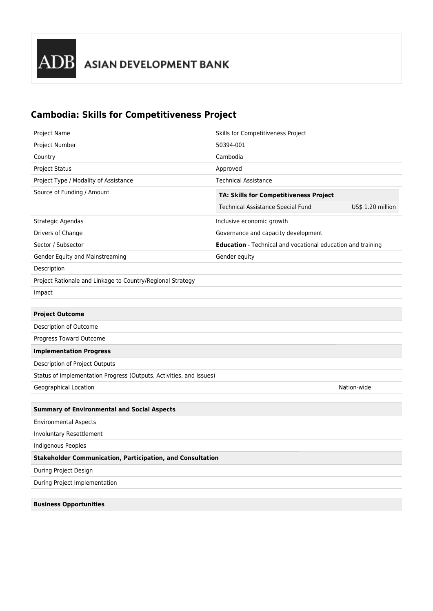## **Cambodia: Skills for Competitiveness Project**

| Project Name                                                        | Skills for Competitiveness Project                          |                   |
|---------------------------------------------------------------------|-------------------------------------------------------------|-------------------|
| Project Number                                                      | 50394-001                                                   |                   |
| Country                                                             | Cambodia                                                    |                   |
| Project Status                                                      | Approved                                                    |                   |
| Project Type / Modality of Assistance                               | <b>Technical Assistance</b>                                 |                   |
| Source of Funding / Amount                                          | TA: Skills for Competitiveness Project                      |                   |
|                                                                     | Technical Assistance Special Fund                           | US\$ 1.20 million |
| Strategic Agendas                                                   | Inclusive economic growth                                   |                   |
| Drivers of Change                                                   | Governance and capacity development                         |                   |
| Sector / Subsector                                                  | Education - Technical and vocational education and training |                   |
| Gender Equity and Mainstreaming                                     | Gender equity                                               |                   |
| Description                                                         |                                                             |                   |
| Project Rationale and Linkage to Country/Regional Strategy          |                                                             |                   |
| Impact                                                              |                                                             |                   |
|                                                                     |                                                             |                   |
| <b>Project Outcome</b>                                              |                                                             |                   |
| Description of Outcome                                              |                                                             |                   |
| Progress Toward Outcome                                             |                                                             |                   |
| <b>Implementation Progress</b>                                      |                                                             |                   |
| Description of Project Outputs                                      |                                                             |                   |
| Status of Implementation Progress (Outputs, Activities, and Issues) |                                                             |                   |
| Geographical Location                                               |                                                             | Nation-wide       |
|                                                                     |                                                             |                   |
| <b>Summary of Environmental and Social Aspects</b>                  |                                                             |                   |
| <b>Environmental Aspects</b>                                        |                                                             |                   |
| Involuntary Resettlement                                            |                                                             |                   |
| Indigenous Peoples                                                  |                                                             |                   |
| <b>Stakeholder Communication, Participation, and Consultation</b>   |                                                             |                   |
| During Project Design                                               |                                                             |                   |
| During Project Implementation                                       |                                                             |                   |
|                                                                     |                                                             |                   |
| <b>Business Opportunities</b>                                       |                                                             |                   |